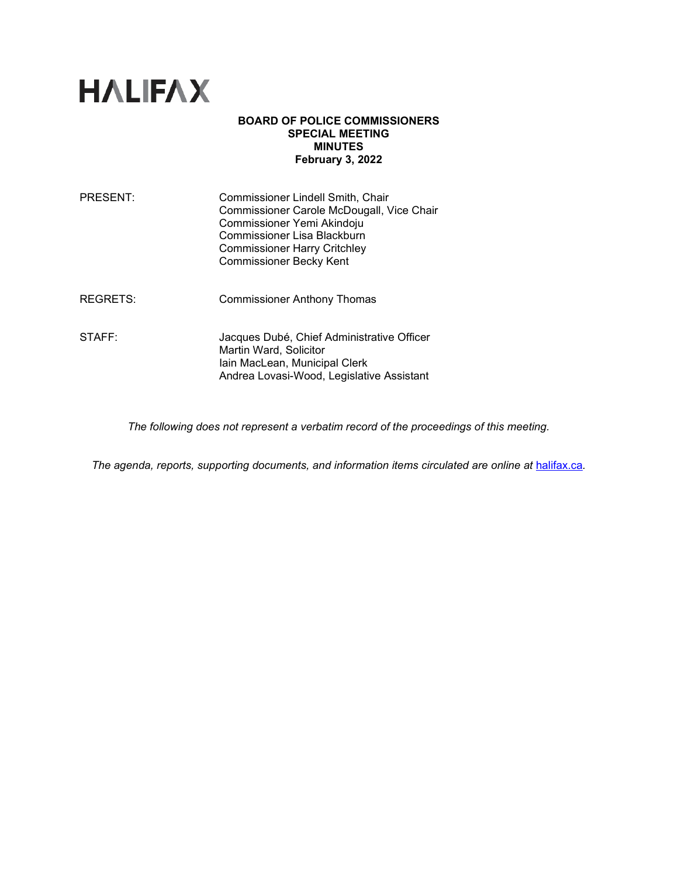

## **BOARD OF POLICE COMMISSIONERS SPECIAL MEETING MINUTES February 3, 2022**

| <b>PRESENT:</b> | Commissioner Lindell Smith, Chair<br>Commissioner Carole McDougall, Vice Chair<br>Commissioner Yemi Akindoju<br>Commissioner Lisa Blackburn<br><b>Commissioner Harry Critchley</b><br><b>Commissioner Becky Kent</b> |
|-----------------|----------------------------------------------------------------------------------------------------------------------------------------------------------------------------------------------------------------------|
| REGRETS:        | <b>Commissioner Anthony Thomas</b>                                                                                                                                                                                   |
| STAFF:          | Jacques Dubé, Chief Administrative Officer<br>Martin Ward, Solicitor<br>Iain MacLean, Municipal Clerk<br>Andrea Lovasi-Wood, Legislative Assistant                                                                   |

*The following does not represent a verbatim record of the proceedings of this meeting.*

*The agenda, reports, supporting documents, and information items circulated are online at [halifax.ca](http://www.halifax.ca/).*